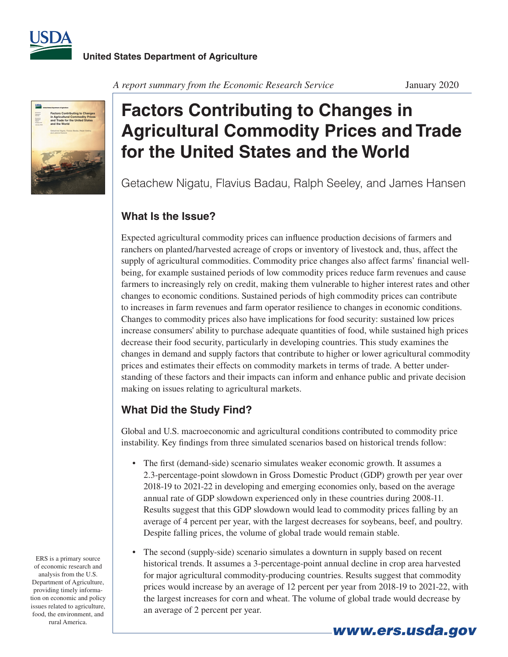



*A report summary from the Economic Research Service* January 2020

# **Factors Contributing to Changes in Agricultural Commodity Prices and Trade for the United States and the World**

Getachew Nigatu, Flavius Badau, Ralph Seeley, and James Hansen

### **What Is the Issue?**

Expected agricultural commodity prices can influence production decisions of farmers and ranchers on planted/harvested acreage of crops or inventory of livestock and, thus, affect the supply of agricultural commodities. Commodity price changes also affect farms' financial wellbeing, for example sustained periods of low commodity prices reduce farm revenues and cause farmers to increasingly rely on credit, making them vulnerable to higher interest rates and other changes to economic conditions. Sustained periods of high commodity prices can contribute to increases in farm revenues and farm operator resilience to changes in economic conditions. Changes to commodity prices also have implications for food security: sustained low prices increase consumers' ability to purchase adequate quantities of food, while sustained high prices decrease their food security, particularly in developing countries. This study examines the changes in demand and supply factors that contribute to higher or lower agricultural commodity prices and estimates their effects on commodity markets in terms of trade. A better understanding of these factors and their impacts can inform and enhance public and private decision making on issues relating to agricultural markets.

## **What Did the Study Find?**

Global and U.S. macroeconomic and agricultural conditions contributed to commodity price instability. Key findings from three simulated scenarios based on historical trends follow:

- The first (demand-side) scenario simulates weaker economic growth. It assumes a 2.3-percentage-point slowdown in Gross Domestic Product (GDP) growth per year over 2018-19 to 2021-22 in developing and emerging economies only, based on the average annual rate of GDP slowdown experienced only in these countries during 2008-11. Results suggest that this GDP slowdown would lead to commodity prices falling by an average of 4 percent per year, with the largest decreases for soybeans, beef, and poultry. Despite falling prices, the volume of global trade would remain stable.
- The second (supply-side) scenario simulates a downturn in supply based on recent historical trends. It assumes a 3-percentage-point annual decline in crop area harvested for major agricultural commodity-producing countries. Results suggest that commodity prices would increase by an average of 12 percent per year from 2018-19 to 2021-22, with the largest increases for corn and wheat. The volume of global trade would decrease by an average of 2 percent per year.

ERS is a primary source of economic research and analysis from the U.S. Department of Agriculture, providing timely information on economic and policy issues related to agriculture, food, the environment, and rural America.